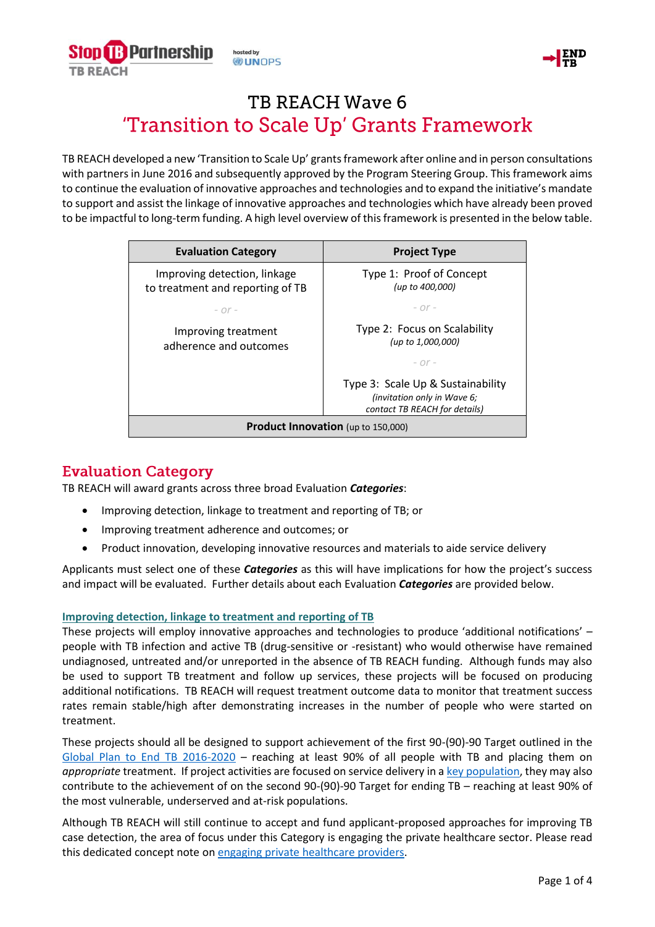



# **TB REACH Wave 6** 'Transition to Scale Up' Grants Framework

TB REACH developed a new 'Transition to Scale Up' grants framework after online and in person consultations with partners in June 2016 and subsequently approved by the Program Steering Group. This framework aims to continue the evaluation of innovative approaches and technologies and to expand the initiative's mandate to support and assist the linkage of innovative approaches and technologies which have already been proved to be impactful to long-term funding. A high level overview of this framework is presented in the below table.

| <b>Evaluation Category</b>                                       | <b>Project Type</b>                                                                               |
|------------------------------------------------------------------|---------------------------------------------------------------------------------------------------|
| Improving detection, linkage<br>to treatment and reporting of TB | Type 1: Proof of Concept<br>(up to 400,000)                                                       |
| $ \Omega r$ -                                                    | $ \Omega r$ -                                                                                     |
| Improving treatment<br>adherence and outcomes                    | Type 2: Focus on Scalability<br>(up to 1,000,000)                                                 |
|                                                                  | $ \cap$ r $-$                                                                                     |
|                                                                  | Type 3: Scale Up & Sustainability<br>(invitation only in Wave 6;<br>contact TB REACH for details) |
| <b>Product Innovation</b> (up to 150,000)                        |                                                                                                   |

### **Evaluation Category**

TB REACH will award grants across three broad Evaluation *Categories*:

- Improving detection, linkage to treatment and reporting of TB; or
- Improving treatment adherence and outcomes; or
- Product innovation, developing innovative resources and materials to aide service delivery

Applicants must select one of these *Categories* as this will have implications for how the project's success and impact will be evaluated. Further details about each Evaluation *Categories* are provided below.

### **Improving detection, linkage to treatment and reporting of TB**

These projects will employ innovative approaches and technologies to produce 'additional notifications' – people with TB infection and active TB (drug-sensitive or -resistant) who would otherwise have remained undiagnosed, untreated and/or unreported in the absence of TB REACH funding. Although funds may also be used to support TB treatment and follow up services, these projects will be focused on producing additional notifications. TB REACH will request treatment outcome data to monitor that treatment success rates remain stable/high after demonstrating increases in the number of people who were started on treatment.

These projects should all be designed to support achievement of the first 90-(90)-90 Target outlined in the [Global Plan to End TB 2016-2020](http://www.stoptb.org/assets/documents/global/plan/GlobalPlanToEndTB_TheParadigmShift_2016-2020_StopTBPartnership.pdf) – reaching at least 90% of all people with TB and placing them on *appropriate* treatment. If project activities are focused on service delivery in a [key population,](http://www.stoptb.org/resources/publications/acsm_docs.asp) they may also contribute to the achievement of on the second 90-(90)-90 Target for ending TB – reaching at least 90% of the most vulnerable, underserved and at-risk populations.

Although TB REACH will still continue to accept and fund applicant-proposed approaches for improving TB case detection, the area of focus under this Category is engaging the private healthcare sector. Please read this dedicated concept note on [engaging private healthcare providers.](http://www.stoptb.org/assets/documents/global/awards/tbreach/TBRw6_PrivateHealthcareProviders_FINAL.pdf)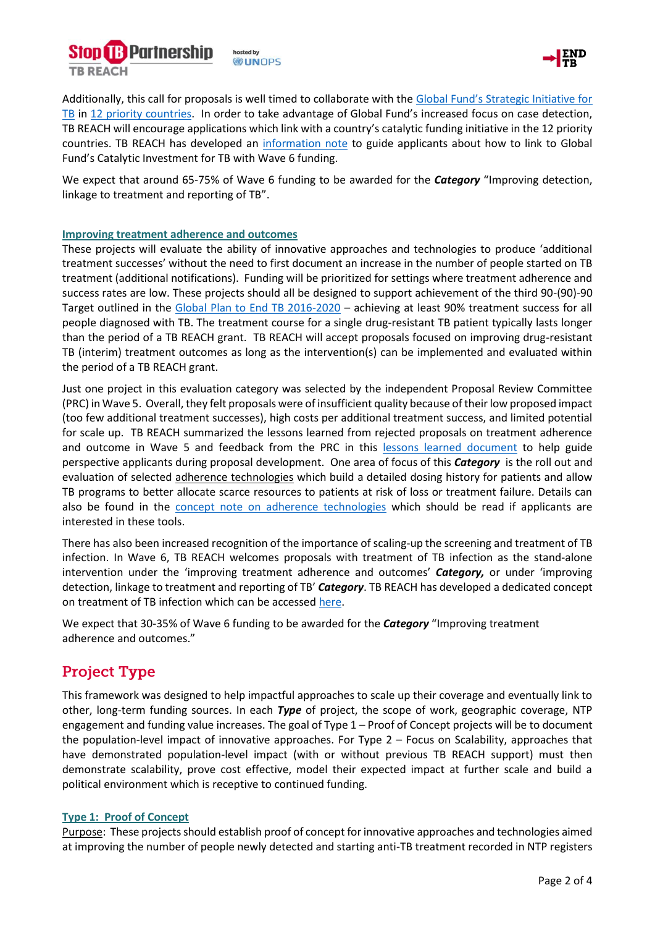



Additionally, this call for proposals is well timed to collaborate with the [Global Fund's Strategic Initiative for](https://www.theglobalfund.org/en/funding-model/funding-process-steps/catalytic-investments/)  [TB](https://www.theglobalfund.org/en/funding-model/funding-process-steps/catalytic-investments/) in [12 priority countries.](http://www.stoptb.org/assets/documents/global/awards/tbreach/TBRw6_EligibleCountries_FINAL.pdf) In order to take advantage of Global Fund's increased focus on case detection, TB REACH will encourage applications which link with a country's catalytic funding initiative in the 12 priority countries. TB REACH has developed an [information note](http://www.stoptb.org/assets/documents/global/awards/tbreach/TBRw6_CatalyticFunding_FINAL.pdf) to guide applicants about how to link to Global Fund's Catalytic Investment for TB with Wave 6 funding.

We expect that around 65-75% of Wave 6 funding to be awarded for the **Category** "Improving detection, linkage to treatment and reporting of TB".

### **Improving treatment adherence and outcomes**

These projects will evaluate the ability of innovative approaches and technologies to produce 'additional treatment successes' without the need to first document an increase in the number of people started on TB treatment (additional notifications). Funding will be prioritized for settings where treatment adherence and success rates are low. These projects should all be designed to support achievement of the third 90-(90)-90 Target outlined in the [Global Plan to End TB 2016-2020](http://www.stoptb.org/assets/documents/global/plan/GlobalPlanToEndTB_TheParadigmShift_2016-2020_StopTBPartnership.pdf) – achieving at least 90% treatment success for all people diagnosed with TB. The treatment course for a single drug-resistant TB patient typically lasts longer than the period of a TB REACH grant. TB REACH will accept proposals focused on improving drug-resistant TB (interim) treatment outcomes as long as the intervention(s) can be implemented and evaluated within the period of a TB REACH grant.

Just one project in this evaluation category was selected by the independent Proposal Review Committee (PRC) in Wave 5. Overall, they felt proposals were of insufficient quality because of their low proposed impact (too few additional treatment successes), high costs per additional treatment success, and limited potential for scale up. TB REACH summarized the lessons learned from rejected proposals on treatment adherence and outcome in Wave 5 and feedback from the PRC in this [lessons](http://www.stoptb.org/assets/documents/global/awards/tbreach/TBRw6_TreatmentOutcomes_W5LessonsLearned_FINAL.pdf) learned document to help guide perspective applicants during proposal development. One area of focus of this *Category* is the roll out and evaluation of selected adherence technologies which build a detailed dosing history for patients and allow TB programs to better allocate scarce resources to patients at risk of loss or treatment failure. Details can also be found in the concept note [on adherence technologies](http://www.stoptb.org/assets/documents/global/awards/tbreach/TBRw6_TreatmentOutcomes_AdherenceTechnology_FINAL.pdf) which should be read if applicants are interested in these tools.

There has also been increased recognition of the importance of scaling-up the screening and treatment of TB infection. In Wave 6, TB REACH welcomes proposals with treatment of TB infection as the stand-alone intervention under the 'improving treatment adherence and outcomes' *Category,* or under 'improving detection, linkage to treatment and reporting of TB' *Category*. TB REACH has developed a dedicated concept on treatment of TB infection which can be accessed [here.](http://www.stoptb.org/assets/documents/global/awards/tbreach/TBRw6_TreatmentOfTBInfection_FINAL.pdf)

We expect that 30-35% of Wave 6 funding to be awarded for the *Category* "Improving treatment adherence and outcomes."

## **Project Type**

This framework was designed to help impactful approaches to scale up their coverage and eventually link to other, long-term funding sources. In each *Type* of project, the scope of work, geographic coverage, NTP engagement and funding value increases. The goal of Type 1 – Proof of Concept projects will be to document the population-level impact of innovative approaches. For Type 2 – Focus on Scalability, approaches that have demonstrated population-level impact (with or without previous TB REACH support) must then demonstrate scalability, prove cost effective, model their expected impact at further scale and build a political environment which is receptive to continued funding.

### **Type 1: Proof of Concept**

Purpose: These projects should establish proof of concept for innovative approaches and technologies aimed at improving the number of people newly detected and starting anti-TB treatment recorded in NTP registers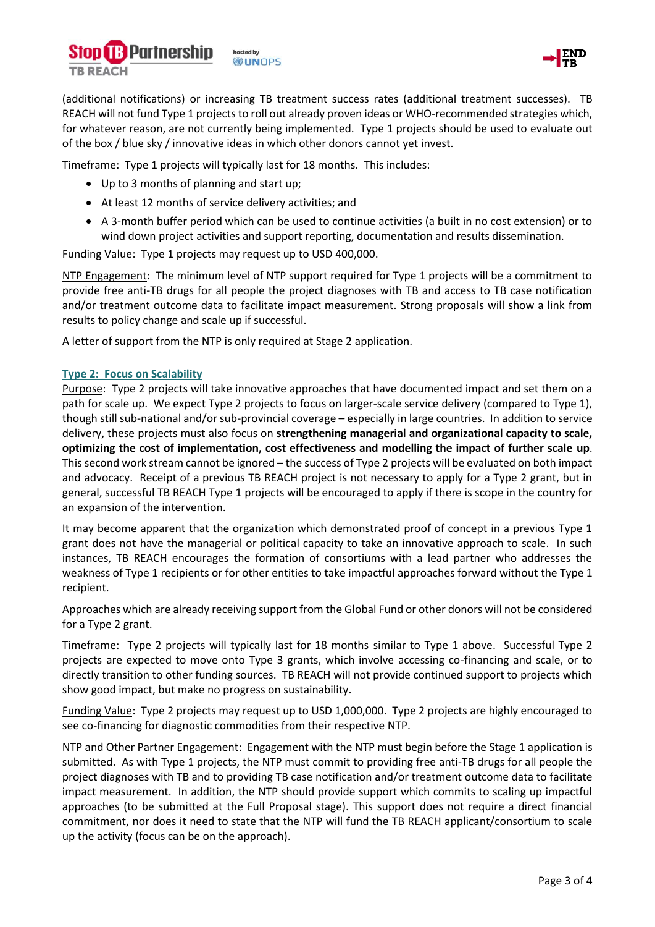



(additional notifications) or increasing TB treatment success rates (additional treatment successes). TB REACH will not fund Type 1 projects to roll out already proven ideas or WHO-recommended strategies which, for whatever reason, are not currently being implemented. Type 1 projects should be used to evaluate out of the box / blue sky / innovative ideas in which other donors cannot yet invest.

Timeframe: Type 1 projects will typically last for 18 months. This includes:

- Up to 3 months of planning and start up;
- At least 12 months of service delivery activities; and
- A 3-month buffer period which can be used to continue activities (a built in no cost extension) or to wind down project activities and support reporting, documentation and results dissemination.

Funding Value: Type 1 projects may request up to USD 400,000.

NTP Engagement: The minimum level of NTP support required for Type 1 projects will be a commitment to provide free anti-TB drugs for all people the project diagnoses with TB and access to TB case notification and/or treatment outcome data to facilitate impact measurement. Strong proposals will show a link from results to policy change and scale up if successful.

A letter of support from the NTP is only required at Stage 2 application.

### **Type 2: Focus on Scalability**

Purpose: Type 2 projects will take innovative approaches that have documented impact and set them on a path for scale up. We expect Type 2 projects to focus on larger-scale service delivery (compared to Type 1), though still sub-national and/or sub-provincial coverage – especially in large countries. In addition to service delivery, these projects must also focus on **strengthening managerial and organizational capacity to scale, optimizing the cost of implementation, cost effectiveness and modelling the impact of further scale up**. This second work stream cannot be ignored – the success of Type 2 projects will be evaluated on both impact and advocacy. Receipt of a previous TB REACH project is not necessary to apply for a Type 2 grant, but in general, successful TB REACH Type 1 projects will be encouraged to apply if there is scope in the country for an expansion of the intervention.

It may become apparent that the organization which demonstrated proof of concept in a previous Type 1 grant does not have the managerial or political capacity to take an innovative approach to scale. In such instances, TB REACH encourages the formation of consortiums with a lead partner who addresses the weakness of Type 1 recipients or for other entities to take impactful approaches forward without the Type 1 recipient.

Approaches which are already receiving support from the Global Fund or other donors will not be considered for a Type 2 grant.

Timeframe: Type 2 projects will typically last for 18 months similar to Type 1 above. Successful Type 2 projects are expected to move onto Type 3 grants, which involve accessing co-financing and scale, or to directly transition to other funding sources. TB REACH will not provide continued support to projects which show good impact, but make no progress on sustainability.

Funding Value: Type 2 projects may request up to USD 1,000,000. Type 2 projects are highly encouraged to see co-financing for diagnostic commodities from their respective NTP.

NTP and Other Partner Engagement: Engagement with the NTP must begin before the Stage 1 application is submitted. As with Type 1 projects, the NTP must commit to providing free anti-TB drugs for all people the project diagnoses with TB and to providing TB case notification and/or treatment outcome data to facilitate impact measurement. In addition, the NTP should provide support which commits to scaling up impactful approaches (to be submitted at the Full Proposal stage). This support does not require a direct financial commitment, nor does it need to state that the NTP will fund the TB REACH applicant/consortium to scale up the activity (focus can be on the approach).